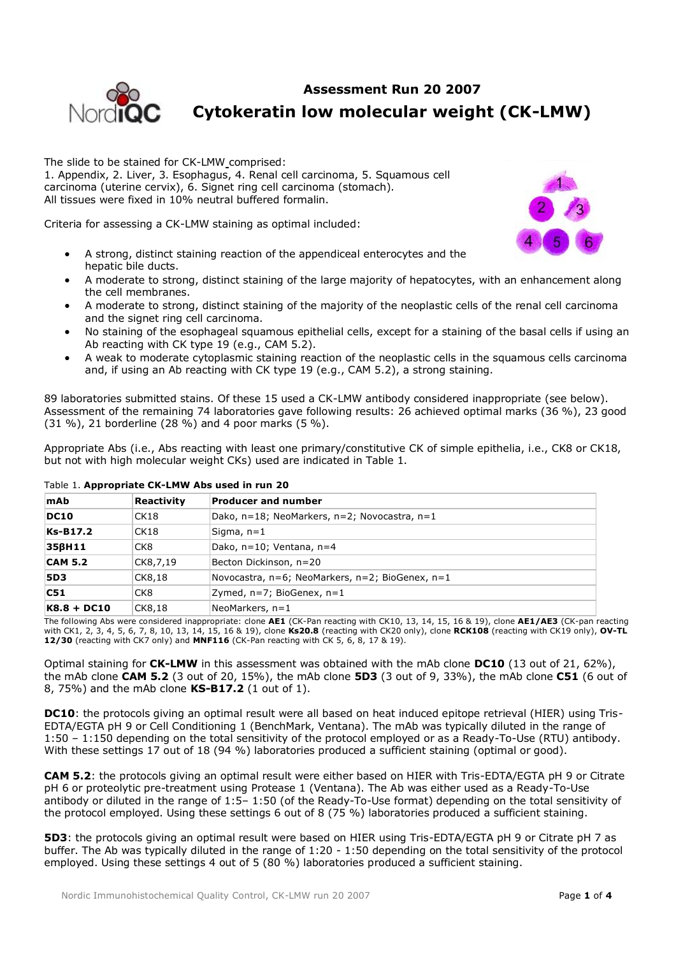# **Assessment Run 20 2007**



# **Cytokeratin low molecular weight (CK-LMW)**

The slide to be stained for CK-LMW comprised: 1. Appendix, 2. Liver, 3. Esophagus, 4. Renal cell carcinoma, 5. Squamous cell carcinoma (uterine cervix), 6. Signet ring cell carcinoma (stomach). All tissues were fixed in 10% neutral buffered formalin.

Criteria for assessing a CK-LMW staining as optimal included:

- A strong, distinct staining reaction of the appendiceal enterocytes and the hepatic bile ducts.
- A moderate to strong, distinct staining of the large majority of hepatocytes, with an enhancement along the cell membranes.
- A moderate to strong, distinct staining of the majority of the neoplastic cells of the renal cell carcinoma and the signet ring cell carcinoma.
- No staining of the esophageal squamous epithelial cells, except for a staining of the basal cells if using an Ab reacting with CK type 19 (e.g., CAM 5.2).
- A weak to moderate cytoplasmic staining reaction of the neoplastic cells in the squamous cells carcinoma and, if using an Ab reacting with CK type 19 (e.g., CAM 5.2), a strong staining.

89 laboratories submitted stains. Of these 15 used a CK-LMW antibody considered inappropriate (see below). Assessment of the remaining 74 laboratories gave following results: 26 achieved optimal marks (36 %), 23 good (31 %), 21 borderline (28 %) and 4 poor marks (5 %).

Appropriate Abs (i.e., Abs reacting with least one primary/constitutive CK of simple epithelia, i.e., CK8 or CK18, but not with high molecular weight CKs) used are indicated in Table 1.

| mAb            | Reactivity      | <b>Producer and number</b>                              |  |  |  |
|----------------|-----------------|---------------------------------------------------------|--|--|--|
| DC10           | CK18            | Dako, n=18; NeoMarkers, n=2; Novocastra, n=1            |  |  |  |
| Ks-B17.2       | CK18            | Sigma, n=1                                              |  |  |  |
| 356H11         | CK <sub>8</sub> | Dako, n=10; Ventana, n=4                                |  |  |  |
| <b>CAM 5.2</b> | CK8,7,19        | Becton Dickinson, n=20                                  |  |  |  |
| <b>5D3</b>     | CK8,18          | Novocastra, $n=6$ ; NeoMarkers, $n=2$ ; BioGenex, $n=1$ |  |  |  |
| C51            | CK <sub>8</sub> | Zymed, n=7; BioGenex, n=1                               |  |  |  |
| K8.8 + DC10    | CK8,18          | NeoMarkers, n=1                                         |  |  |  |

#### Table 1. **Appropriate CK-LMW Abs used in run 20**

The following Abs were considered inappropriate: clone **AE1** (CK-Pan reacting with CK10, 13, 14, 15, 16 & 19), clone **AE1/AE3** (CK-pan reacting with CK1, 2, 3, 4, 5, 6, 7, 8, 10, 13, 14, 15, 16 & 19), clone **Ks20.8** (reacting with CK20 only), clone **RCK108** (reacting with CK19 only), **OV-TL 12/30** (reacting with CK7 only) and **MNF116** (CK-Pan reacting with CK 5, 6, 8, 17 & 19).

Optimal staining for **CK-LMW** in this assessment was obtained with the mAb clone **DC10** (13 out of 21, 62%), the mAb clone **CAM 5.2** (3 out of 20, 15%), the mAb clone **5D3** (3 out of 9, 33%), the mAb clone **C51** (6 out of 8, 75%) and the mAb clone **KS-B17.2** (1 out of 1).

**DC10**: the protocols giving an optimal result were all based on heat induced epitope retrieval (HIER) using Tris-EDTA/EGTA pH 9 or Cell Conditioning 1 (BenchMark, Ventana). The mAb was typically diluted in the range of 1:50 – 1:150 depending on the total sensitivity of the protocol employed or as a Ready-To-Use (RTU) antibody. With these settings 17 out of 18 (94 %) laboratories produced a sufficient staining (optimal or good).

**CAM 5.2**: the protocols giving an optimal result were either based on HIER with Tris-EDTA/EGTA pH 9 or Citrate pH 6 or proteolytic pre-treatment using Protease 1 (Ventana). The Ab was either used as a Ready-To-Use antibody or diluted in the range of 1:5– 1:50 (of the Ready-To-Use format) depending on the total sensitivity of the protocol employed. Using these settings 6 out of 8 (75 %) laboratories produced a sufficient staining.

**5D3**: the protocols giving an optimal result were based on HIER using Tris-EDTA/EGTA pH 9 or Citrate pH 7 as buffer. The Ab was typically diluted in the range of 1:20 - 1:50 depending on the total sensitivity of the protocol employed. Using these settings 4 out of 5 (80 %) laboratories produced a sufficient staining.

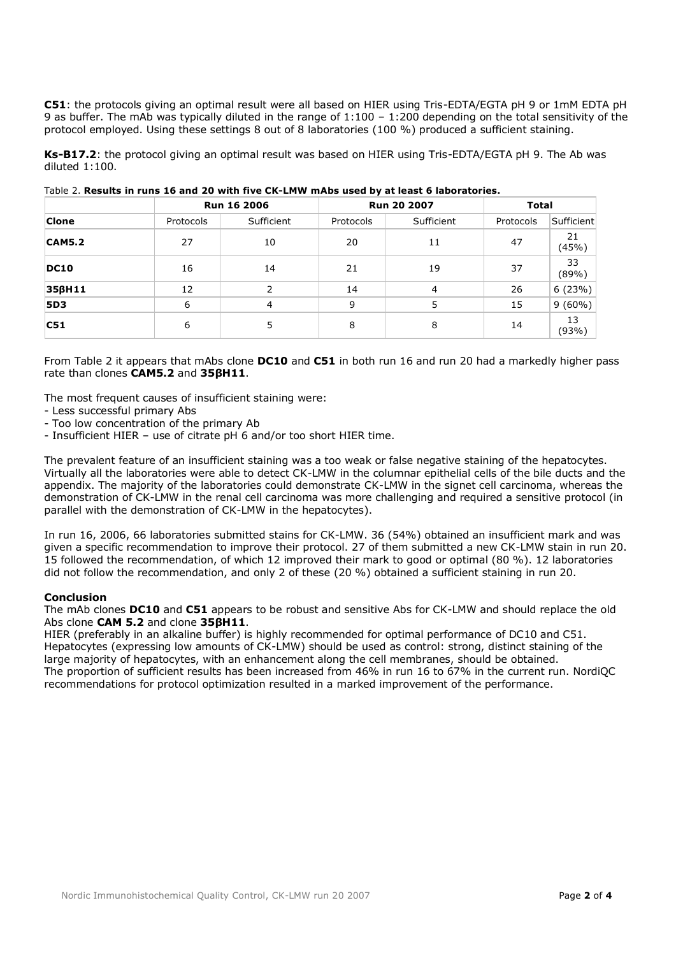**C51**: the protocols giving an optimal result were all based on HIER using Tris-EDTA/EGTA pH 9 or 1mM EDTA pH 9 as buffer. The mAb was typically diluted in the range of 1:100 – 1:200 depending on the total sensitivity of the protocol employed. Using these settings 8 out of 8 laboratories (100 %) produced a sufficient staining.

**Ks-B17.2**: the protocol giving an optimal result was based on HIER using Tris-EDTA/EGTA pH 9. The Ab was diluted 1:100.

|               |           | <b>Run 16 2006</b> | Run 20 2007 |            | <b>Total</b> |             |
|---------------|-----------|--------------------|-------------|------------|--------------|-------------|
| Clone         | Protocols | Sufficient         | Protocols   | Sufficient | Protocols    | Sufficient  |
| <b>CAM5.2</b> | 27        | 10                 | 20          | 11         | 47           | 21<br>(45%) |
| <b>DC10</b>   | 16        | 14                 | 21          | 19         | 37           | 33<br>(89%) |
| 356H11        | 12        | 2                  | 14          | 4          | 26           | 6(23%)      |
| <b>5D3</b>    | 6         | $\overline{4}$     | 9           | 5          | 15           | $9(60\%)$   |
| C51           | 6         | 5                  | 8           | 8          | 14           | 13<br>(93%) |

Table 2. **Results in runs 16 and 20 with five CK-LMW mAbs used by at least 6 laboratories.**

From Table 2 it appears that mAbs clone **DC10** and **C51** in both run 16 and run 20 had a markedly higher pass rate than clones **CAM5.2** and **35βH11**.

The most frequent causes of insufficient staining were:

- Less successful primary Abs
- Too low concentration of the primary Ab
- Insufficient HIER use of citrate pH 6 and/or too short HIER time.

The prevalent feature of an insufficient staining was a too weak or false negative staining of the hepatocytes. Virtually all the laboratories were able to detect CK-LMW in the columnar epithelial cells of the bile ducts and the appendix. The majority of the laboratories could demonstrate CK-LMW in the signet cell carcinoma, whereas the demonstration of CK-LMW in the renal cell carcinoma was more challenging and required a sensitive protocol (in parallel with the demonstration of CK-LMW in the hepatocytes).

In run 16, 2006, 66 laboratories submitted stains for CK-LMW. 36 (54%) obtained an insufficient mark and was given a specific recommendation to improve their protocol. 27 of them submitted a new CK-LMW stain in run 20. 15 followed the recommendation, of which 12 improved their mark to good or optimal (80 %). 12 laboratories did not follow the recommendation, and only 2 of these (20 %) obtained a sufficient staining in run 20.

### **Conclusion**

The mAb clones **DC10** and **C51** appears to be robust and sensitive Abs for CK-LMW and should replace the old Abs clone **CAM 5.2** and clone **35βH11**.

HIER (preferably in an alkaline buffer) is highly recommended for optimal performance of DC10 and C51. Hepatocytes (expressing low amounts of CK-LMW) should be used as control: strong, distinct staining of the large majority of hepatocytes, with an enhancement along the cell membranes, should be obtained. The proportion of sufficient results has been increased from 46% in run 16 to 67% in the current run. NordiQC recommendations for protocol optimization resulted in a marked improvement of the performance.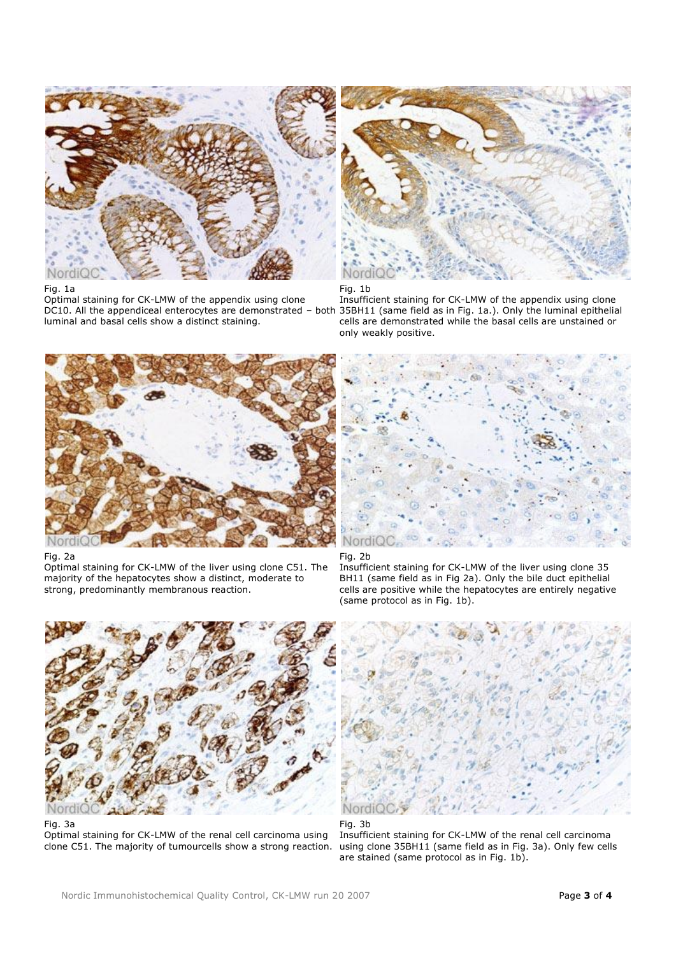

# Fig. 1a

Optimal staining for CK-LMW of the appendix using clone luminal and basal cells show a distinct staining.



Fig. 1b

DC10. All the appendiceal enterocytes are demonstrated – both 35BH11 (same field as in Fig. 1a.). Only the luminal epithelial Insufficient staining for CK-LMW of the appendix using clone cells are demonstrated while the basal cells are unstained or only weakly positive.



Fig. 2a

Optimal staining for CK-LMW of the liver using clone C51. The majority of the hepatocytes show a distinct, moderate to strong, predominantly membranous reaction.



## Fig. 2b

Insufficient staining for CK-LMW of the liver using clone 35 BH11 (same field as in Fig 2a). Only the bile duct epithelial cells are positive while the hepatocytes are entirely negative (same protocol as in Fig. 1b).



Fig. 3a

Optimal staining for CK-LMW of the renal cell carcinoma using clone C51. The majority of tumourcells show a strong reaction.



## Fig. 3b

Insufficient staining for CK-LMW of the renal cell carcinoma using clone 35BH11 (same field as in Fig. 3a). Only few cells are stained (same protocol as in Fig. 1b).